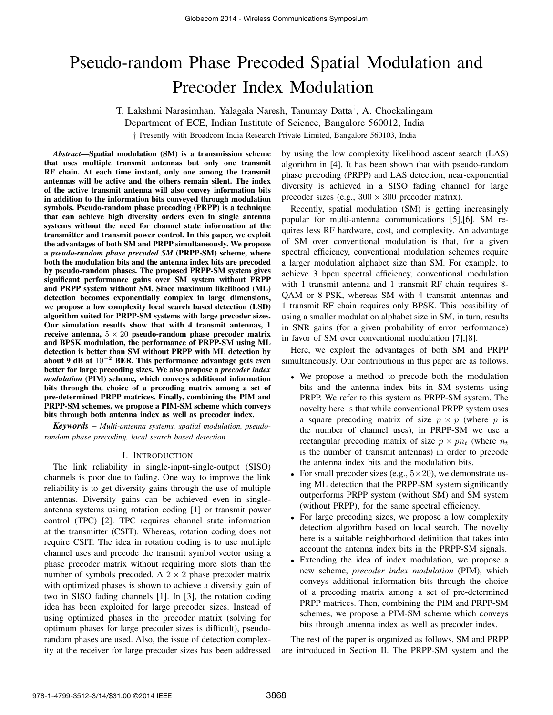# Pseudo-random Phase Precoded Spatial Modulation and Precoder Index Modulation

T. Lakshmi Narasimhan, Yalagala Naresh, Tanumay Datta† , A. Chockalingam Department of ECE, Indian Institute of Science, Bangalore 560012, India † Presently with Broadcom India Research Private Limited, Bangalore 560103, India

*Abstract***—Spatial modulation (SM) is a transmission scheme that uses multiple transmit antennas but only one transmit RF chain. At each time instant, only one among the transmit antennas will be active and the others remain silent. The index of the active transmit antenna will also convey information bits in addition to the information bits conveyed through modulation symbols. Pseudo-random phase precoding (PRPP) is a technique that can achieve high diversity orders even in single antenna systems without the need for channel state information at the transmitter and transmit power control. In this paper, we exploit the advantages of both SM and PRPP simultaneously. We propose a** *pseudo-random phase precoded SM* **(PRPP-SM) scheme, where both the modulation bits and the antenna index bits are precoded by pseudo-random phases. The proposed PRPP-SM system gives significant performance gains over SM system without PRPP and PRPP system without SM. Since maximum likelihood (ML) detection becomes exponentially complex in large dimensions, we propose a low complexity local search based detection (LSD) algorithm suited for PRPP-SM systems with large precoder sizes. Our simulation results show that with 4 transmit antennas, 1 receive antenna,**  $5 \times 20$  **pseudo-random phase precoder matrix and BPSK modulation, the performance of PRPP-SM using ML detection is better than SM without PRPP with ML detection by about 9 dB at** 10<sup>−</sup><sup>2</sup> **BER. This performance advantage gets even better for large precoding sizes. We also propose a** *precoder index modulation* **(PIM) scheme, which conveys additional information bits through the choice of a precoding matrix among a set of pre-determined PRPP matrices. Finally, combining the PIM and PRPP-SM schemes, we propose a PIM-SM scheme which conveys bits through both antenna index as well as precoder index.**

*Keywords* – *Multi-antenna systems, spatial modulation, pseudorandom phase precoding, local search based detection.*

## I. INTRODUCTION

The link reliability in single-input-single-output (SISO) channels is poor due to fading. One way to improve the link reliability is to get diversity gains through the use of multiple antennas. Diversity gains can be achieved even in singleantenna systems using rotation coding [1] or transmit power control (TPC) [2]. TPC requires channel state information at the transmitter (CSIT). Whereas, rotation coding does not require CSIT. The idea in rotation coding is to use multiple channel uses and precode the transmit symbol vector using a phase precoder matrix without requiring more slots than the number of symbols precoded. A  $2 \times 2$  phase precoder matrix with optimized phases is shown to achieve a diversity gain of two in SISO fading channels [1]. In [3], the rotation coding idea has been exploited for large precoder sizes. Instead of using optimized phases in the precoder matrix (solving for optimum phases for large precoder sizes is difficult), pseudorandom phases are used. Also, the issue of detection complexity at the receiver for large precoder sizes has been addressed

by using the low complexity likelihood ascent search (LAS) algorithm in [4]. It has been shown that with pseudo-random phase precoding (PRPP) and LAS detection, near-exponential diversity is achieved in a SISO fading channel for large precoder sizes (e.g.,  $300 \times 300$  precoder matrix).

Recently, spatial modulation (SM) is getting increasingly popular for multi-antenna communications [5],[6]. SM requires less RF hardware, cost, and complexity. An advantage of SM over conventional modulation is that, for a given spectral efficiency, conventional modulation schemes require a larger modulation alphabet size than SM. For example, to achieve 3 bpcu spectral efficiency, conventional modulation with 1 transmit antenna and 1 transmit RF chain requires 8- QAM or 8-PSK, whereas SM with 4 transmit antennas and 1 transmit RF chain requires only BPSK. This possibility of using a smaller modulation alphabet size in SM, in turn, results in SNR gains (for a given probability of error performance) in favor of SM over conventional modulation [7],[8].

Here, we exploit the advantages of both SM and PRPP simultaneously. Our contributions in this paper are as follows.

- We propose a method to precode both the modulation bits and the antenna index bits in SM systems using PRPP. We refer to this system as PRPP-SM system. The novelty here is that while conventional PRPP system uses a square precoding matrix of size  $p \times p$  (where p is the number of channel uses), in PRPP-SM we use a rectangular precoding matrix of size  $p \times pn_t$  (where  $n_t$ is the number of transmit antennas) in order to precode the antenna index bits and the modulation bits.
- For small precoder sizes (e.g.,  $5 \times 20$ ), we demonstrate using ML detection that the PRPP-SM system significantly outperforms PRPP system (without SM) and SM system (without PRPP), for the same spectral efficiency.
- For large precoding sizes, we propose a low complexity detection algorithm based on local search. The novelty here is a suitable neighborhood definition that takes into account the antenna index bits in the PRPP-SM signals.
- Extending the idea of index modulation, we propose a new scheme, *precoder index modulation* (PIM), which conveys additional information bits through the choice of a precoding matrix among a set of pre-determined PRPP matrices. Then, combining the PIM and PRPP-SM schemes, we propose a PIM-SM scheme which conveys bits through antenna index as well as precoder index.

The rest of the paper is organized as follows. SM and PRPP are introduced in Section II. The PRPP-SM system and the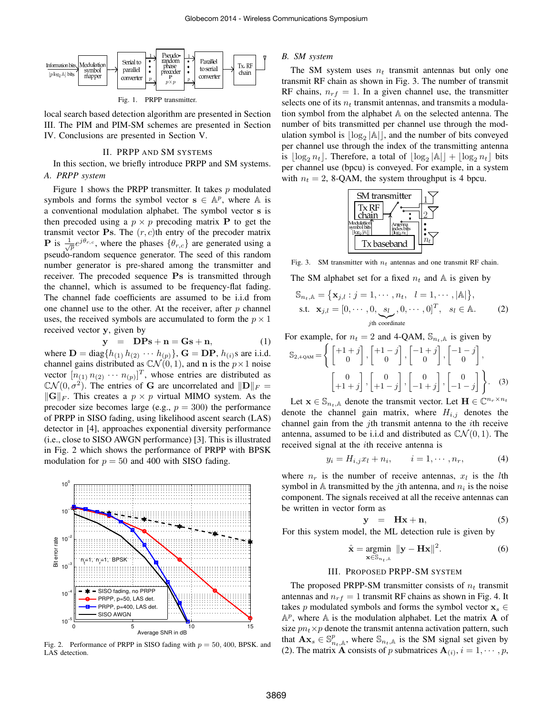

Fig. 1. PRPP transmitter.

local search based detection algorithm are presented in Section III. The PIM and PIM-SM schemes are presented in Section IV. Conclusions are presented in Section V.

#### II. PRPP AND SM SYSTEMS

In this section, we briefly introduce PRPP and SM systems. *A. PRPP system*

Figure 1 shows the PRPP transmitter. It takes  $p$  modulated symbols and forms the symbol vector  $s \in \mathbb{A}^p$ , where  $\mathbb A$  is a conventional modulation alphabet. The symbol vector s is then precoded using a  $p \times p$  precoding matrix **P** to get the transmit vector **Ps**. The  $(r, c)$ th entry of the precoder matrix **P** is  $\frac{1}{\sqrt{p}}e^{j\theta_{r,c}}$ , where the phases  $\{\theta_{r,c}\}\$  are generated using a pseudo-random sequence generator. The seed of this random number generator is pre-shared among the transmitter and receiver. The precoded sequence Ps is transmitted through the channel, which is assumed to be frequency-flat fading. The channel fade coefficients are assumed to be i.i.d from one channel use to the other. At the receiver, after  $p$  channel uses, the received symbols are accumulated to form the  $p \times 1$ received vector y, given by

$$
y = DPs + n = Gs + n,\tag{1}
$$

where  $D = \text{diag}\{h_{(1)} h_{(2)} \cdots h_{(p)}\}$ ,  $G = DP$ ,  $h_{(i)} s$  are i.i.d. channel gains distributed as  $CN(0, 1)$ , and **n** is the  $p \times 1$  noise vector  $[n_{(1)} n_{(2)} \cdots n_{(p)}]^T$ , whose entries are distributed as  $\mathbb{C}\mathcal{N}(0, \sigma^2)$ . The entries of G are uncorrelated and  $||\mathbf{D}||_F =$  $\|\mathbf{G}\|_F$ . This creates a  $p \times p$  virtual MIMO system. As the precoder size becomes large (e.g.,  $p = 300$ ) the performance of PRPP in SISO fading, using likelihood ascent search (LAS) detector in [4], approaches exponential diversity performance (i.e., close to SISO AWGN performance) [3]. This is illustrated in Fig. 2 which shows the performance of PRPP with BPSK modulation for  $p = 50$  and 400 with SISO fading.



Fig. 2. Performance of PRPP in SISO fading with  $p = 50, 400$ , BPSK. and LAS detection.

## *B. SM system*

The SM system uses  $n_t$  transmit antennas but only one transmit RF chain as shown in Fig. 3. The number of transmit RF chains,  $n_{rf} = 1$ . In a given channel use, the transmitter selects one of its  $n_t$  transmit antennas, and transmits a modulation symbol from the alphabet A on the selected antenna. The number of bits transmitted per channel use through the modulation symbol is  $\lfloor \log_2 |\mathbb{A}| \rfloor$ , and the number of bits conveyed per channel use through the index of the transmitting antenna is  $\lfloor \log_2 n_t \rfloor$ . Therefore, a total of  $\lfloor \log_2 |\mathbb{A}| \rfloor + \lfloor \log_2 n_t \rfloor$  bits per channel use (bpcu) is conveyed. For example, in a system with  $n_t = 2$ , 8-QAM, the system throughput is 4 bpcu.



Fig. 3. SM transmitter with  $n_t$  antennas and one transmit RF chain.

The SM alphabet set for a fixed  $n_t$  and A is given by

$$
\mathbb{S}_{n_t, \mathbb{A}} = \left\{ \mathbf{x}_{j,l} : j = 1, \cdots, n_t, \quad l = 1, \cdots, |\mathbb{A}| \right\},
$$
  
s.t.  $\mathbf{x}_{j,l} = [0, \cdots, 0, s_l, 0, \cdots, 0]^T, \quad s_l \in \mathbb{A}.$  (2)  
*j*th coordinate

For example, for  $n_t = 2$  and 4-QAM,  $\mathbb{S}_{n_t,\mathbb{A}}$  is given by

$$
\mathbb{S}_{2,4\text{-QAM}} = \left\{ \begin{bmatrix} +1+j \\ 0 \end{bmatrix}, \begin{bmatrix} +1-j \\ 0 \end{bmatrix}, \begin{bmatrix} -1+j \\ 0 \end{bmatrix}, \begin{bmatrix} -1-j \\ 0 \end{bmatrix}, \begin{bmatrix} -1-j \\ 0 \end{bmatrix}, \begin{bmatrix} 0 \\ +1+j \end{bmatrix}, \begin{bmatrix} 0 \\ +1-j \end{bmatrix}, \begin{bmatrix} 0 \\ -1+j \end{bmatrix}, \begin{bmatrix} 0 \\ -1-j \end{bmatrix} \right\}.
$$
 (3)

Let  $\mathbf{x} \in \mathbb{S}_{n_t, \mathbb{A}}$  denote the transmit vector. Let  $\mathbf{H} \in \mathbb{C}^{n_r \times n_t}$ denote the channel gain matrix, where  $H_{i,j}$  denotes the channel gain from the jth transmit antenna to the ith receive antenna, assumed to be i.i.d and distributed as  $\mathbb{C}\mathcal{N}(0, 1)$ . The received signal at the ith receive antenna is

$$
y_i = H_{i,j}x_l + n_i, \qquad i = 1, \cdots, n_r,
$$
 (4)

where  $n_r$  is the number of receive antennas,  $x_l$  is the *l*th symbol in  $A$  transmitted by the *j*th antenna, and  $n_i$  is the noise component. The signals received at all the receive antennas can be written in vector form as

$$
y = Hx + n, \tag{5}
$$

For this system model, the ML detection rule is given by

$$
\hat{\mathbf{x}} = \underset{\mathbf{x} \in \mathbb{S}_{n_t,\mathbb{A}}}{\text{argmin}} \ \|\mathbf{y} - \mathbf{H}\mathbf{x}\|^2. \tag{6}
$$

# III. PROPOSED PRPP-SM SYSTEM

The proposed PRPP-SM transmitter consists of  $n_t$  transmit antennas and  $n_{rf} = 1$  transmit RF chains as shown in Fig. 4. It takes p modulated symbols and forms the symbol vector  $x_s \in$  $\mathbb{A}^p$ , where  $\mathbb A$  is the modulation alphabet. Let the matrix **A** of size  $pn_t \times p$  denote the transmit antenna activation pattern, such that  $\mathbf{A}\mathbf{x}_s \in \mathbb{S}^p_{n_t,\mathbb{A}}$ , where  $\mathbb{S}_{n_t,\mathbb{A}}$  is the SM signal set given by (2). The matrix **A** consists of p submatrices  $A_{(i)}$ ,  $i = 1, \dots, p$ ,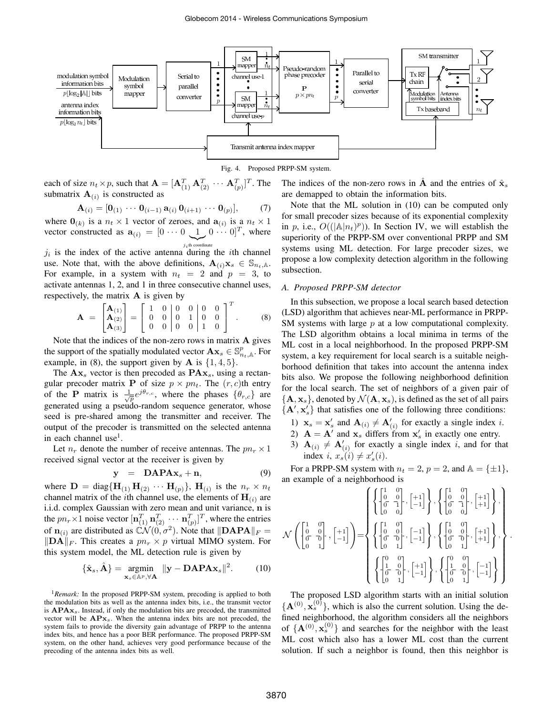

Fig. 4. Proposed PRPP-SM system.

each of size  $n_t \times p$ , such that  $\mathbf{A} = [\mathbf{A}_{(1)}^T \ \mathbf{A}_{(2)}^T \ \cdots \ \mathbf{A}_{(p)}^T]^T$ . The submatrix  $\mathbf{A}_{(i)}$  is constructed as

$$
\mathbf{A}_{(i)} = [\mathbf{0}_{(1)} \cdots \mathbf{0}_{(i-1)} \mathbf{a}_{(i)} \mathbf{0}_{(i+1)} \cdots \mathbf{0}_{(p)}], \qquad (7)
$$

where  $\mathbf{0}_{(k)}$  is a  $n_t \times 1$  vector of zeroes, and  $\mathbf{a}_{(i)}$  is a  $n_t \times 1$ vector constructed as  $\mathbf{a}_{(i)} = [0 \cdots 0 \mathbf{1}]$  $\sum_{\text{h} \text{ coordi}}$ th coordinate  $[0 \cdots 0]^T$ , where

 $j_i$  is the index of the active antenna during the *i*th channel use. Note that, with the above definitions,  $\mathbf{A}_{(i)}\mathbf{x}_s \in \mathbb{S}_{n_t,\mathbb{A}}$ . For example, in a system with  $n_t = 2$  and  $p = 3$ , to activate antennas 1, 2, and 1 in three consecutive channel uses, respectively, the matrix  $\bf{A}$  is given by

$$
\mathbf{A} = \begin{bmatrix} \mathbf{A}_{(1)} \\ \mathbf{A}_{(2)} \\ \mathbf{A}_{(3)} \end{bmatrix} = \begin{bmatrix} 1 & 0 & 0 & 0 & 0 & 0 \\ 0 & 0 & 0 & 1 & 0 & 0 \\ 0 & 0 & 0 & 0 & 1 & 0 \end{bmatrix}^T.
$$
 (8)

Note that the indices of the non-zero rows in matrix  $A$  gives the support of the spatially modulated vector  $\mathbf{A}\mathbf{x}_s \in \mathbb{S}^p_{n_t,\mathbb{A}}$ . For example, in (8), the support given by  $A$  is  $\{1, 4, 5\}$ .

The  $\mathbf{A}\mathbf{x}_s$  vector is then precoded as  $\mathbf{P}\mathbf{A}\mathbf{x}_s$ , using a rectangular precoder matrix **P** of size  $p \times pn_t$ . The  $(r, c)$ th entry of the **P** matrix is  $\frac{1}{\sqrt{p}}e^{j\theta_{r,c}}$ , where the phases  $\{\theta_{r,c}\}\$  are generated using a pseudo-random sequence generator, whose seed is pre-shared among the transmitter and receiver. The output of the precoder is transmitted on the selected antenna in each channel use<sup>1</sup>.

Let  $n_r$  denote the number of receive antennas. The  $pn_r \times 1$ received signal vector at the receiver is given by

$$
y = DAPAx_s + n, \qquad (9)
$$

where  $\mathbf{D} = \text{diag}\{\mathbf{H}_{(1)}\,\mathbf{H}_{(2)}\,\cdots\,\mathbf{H}_{(p)}\}$ ,  $\mathbf{H}_{(i)}$  is the  $n_r \times n_t$ channel matrix of the *i*th channel use, the elements of  $H_{(i)}$  are i.i.d. complex Gaussian with zero mean and unit variance, n is the  $pn_r \times 1$  noise vector  $[\mathbf{n}_{(1)}^T \ \mathbf{n}_{(2)}^T \ \cdots \ \mathbf{n}_{(p)}^T]^T$ , where the entries of  $\mathbf{n}_{(i)}$  are distributed as  $\mathbb{C}\mathcal{N}(0, \sigma^2)$ . Note that  $\|\mathbf{DAPA}\|_F =$  $\|\mathbf{DA}\|_F$ . This creates a  $pn_r \times p$  virtual MIMO system. For this system model, the ML detection rule is given by

$$
\{\hat{\mathbf{x}}_s, \hat{\mathbf{A}}\} = \underset{\mathbf{x}_s \in \mathbb{A}^p, \forall \mathbf{A}}{\text{argmin}} \|\mathbf{y} - \mathbf{D}\mathbf{A}\mathbf{P}\mathbf{A}\mathbf{x}_s\|^2. \tag{10}
$$

<sup>1</sup>Remark: In the proposed PRPP-SM system, precoding is applied to both the modulation bits as well as the antenna index bits, i.e., the transmit vector is  $APAx<sub>s</sub>$ . Instead, if only the modulation bits are precoded, the transmitted vector will be  $APx<sub>s</sub>$ . When the antenna index bits are not precoded, the system fails to provide the diversity gain advantage of PRPP to the antenna index bits, and hence has a poor BER performance. The proposed PRPP-SM system, on the other hand, achieves very good performance because of the precoding of the antenna index bits as well.

The indices of the non-zero rows in  $\hat{A}$  and the entries of  $\hat{x}_s$ are demapped to obtain the information bits.

Note that the ML solution in (10) can be computed only for small precoder sizes because of its exponential complexity in p, i.e.,  $O((|\mathbb{A}|n_t)^p)$ ). In Section IV, we will establish the superiority of the PRPP-SM over conventional PRPP and SM systems using ML detection. For large precoder sizes, we propose a low complexity detection algorithm in the following subsection.

#### *A. Proposed PRPP-SM detector*

In this subsection, we propose a local search based detection (LSD) algorithm that achieves near-ML performance in PRPP-SM systems with large  $p$  at a low computational complexity. The LSD algorithm obtains a local minima in terms of the ML cost in a local neighborhood. In the proposed PRPP-SM system, a key requirement for local search is a suitable neighborhood definition that takes into account the antenna index bits also. We propose the following neighborhood definition for the local search. The set of neighbors of a given pair of  ${A, \mathbf{x}_s}$ , denoted by  $\mathcal{N}(\mathbf{A}, \mathbf{x}_s)$ , is defined as the set of all pairs  ${A', x'_s}$  that satisfies one of the following three conditions:

- 1)  $\mathbf{x}_s = \mathbf{x}'_s$  and  $\mathbf{A}_{(i)} \neq \mathbf{A}'_{(i)}$  for exactly a single index *i*.
- 2)  $\mathbf{A} = \mathbf{A}'$  and  $\mathbf{x}_s$  differs from  $\mathbf{x}'_s$  in exactly one entry.
- 3)  $\mathbf{A}_{(i)} \neq \mathbf{A}'_{(i)}$  for exactly a single index i, and for that index  $i, x_s(i) \neq x'_s(i)$ .

For a PRPP-SM system with  $n_t = 2$ ,  $p = 2$ , and  $\mathbb{A} = {\pm 1}$ , an example of a neighborhood is

$$
\mathcal{N}\left(\left[\begin{matrix} 1 & 0 \\ 0 & 0 \\ 0 & 0 \\ 0 & 1 \end{matrix}\right], \left[\begin{matrix} +1 \\ -1 \end{matrix}\right]\right) = \left\{\left\{\left[\begin{matrix} 1 & 0 \\ 0 & 0 \\ 0 & 0 \end{matrix}\right], \left[\begin{matrix} +1 \\ -1 \end{matrix}\right]\right\}, \left\{\left[\begin{matrix} 1 & 0 \\ 0 & 0 \\ 0 & 0 \end{matrix}\right], \left[\begin{matrix} +1 \\ +1 \end{matrix}\right]\right\},\right\}
$$
\n
$$
\left\{\left[\begin{matrix} 1 & 0 \\ 0 & 0 \\ 0 & 1 \end{matrix}\right], \left[\begin{matrix} -1 \\ -1 \end{matrix}\right]\right\}, \left\{\left[\begin{matrix} 1 & 0 \\ 0 & 0 \\ 0 & 1 \end{matrix}\right], \left[\begin{matrix} +1 \\ +1 \end{matrix}\right]\right\},\right\}.
$$

The proposed LSD algorithm starts with an initial solution  ${A<sup>(0)</sup>, \mathbf{x}<sub>s</sub><sup>(0)</sup>},$  which is also the current solution. Using the defined neighborhood, the algorithm considers all the neighbors of  ${A^{(0)}, \mathbf{x}_s^{(0)}\}$  and searches for the neighbor with the least ML cost which also has a lower ML cost than the current solution. If such a neighbor is found, then this neighbor is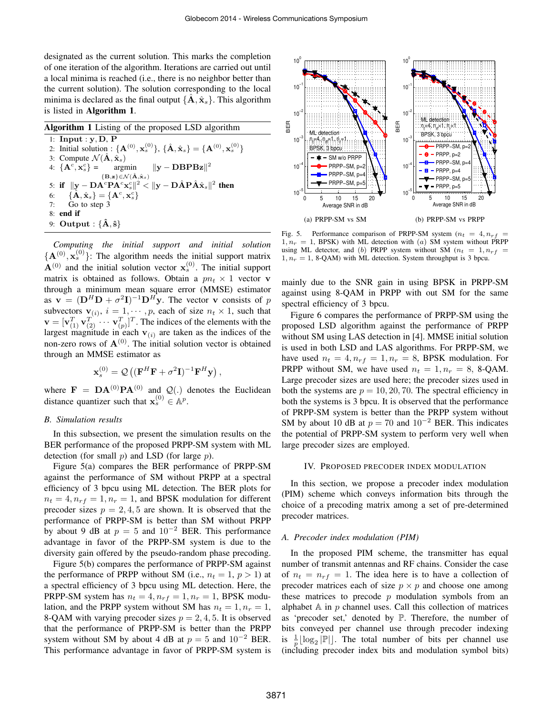designated as the current solution. This marks the completion of one iteration of the algorithm. Iterations are carried out until a local minima is reached (i.e., there is no neighbor better than the current solution). The solution corresponding to the local minima is declared as the final output  $\{A, \hat{x}_s\}$ . This algorithm is listed in **Algorithm 1**.

| <b>Algorithm 1</b> Listing of the proposed LSD algorithm                                                                                                                                     |
|----------------------------------------------------------------------------------------------------------------------------------------------------------------------------------------------|
| 1: Input : $y, D, P$                                                                                                                                                                         |
| 2: Initial solution : { $\mathbf{A}^{(0)}, \mathbf{x}_s^{(0)}$ }, { $\hat{\mathbf{A}}, \hat{\mathbf{x}}_s$ } = { $\mathbf{A}^{(0)}, \mathbf{x}_s^{(0)}$ }                                    |
| 3: Compute $\mathcal{N}(\hat{\mathbf{A}}, \hat{\mathbf{x}}_s)$                                                                                                                               |
| 4: ${A^c, \mathbf{x}_s^c}$ = argmin $  \mathbf{y} - \mathbf{DBPBz}  ^2$                                                                                                                      |
| ${B,z} \in \mathcal{N}(\hat{A}, \hat{x}_s)$                                                                                                                                                  |
| 5: if $  \mathbf{y} - \mathbf{D} \mathbf{A}^c \mathbf{P} \mathbf{A}^c \mathbf{x}_s  ^2 <   \mathbf{y} - \mathbf{D} \hat{\mathbf{A}} \mathbf{P} \hat{\mathbf{A}} \hat{\mathbf{x}}_s  ^2$ then |
| 6: { $\hat{A}, \hat{x}_s$ } = { $A^c, x_s^c$ }                                                                                                                                               |
| 7: Go to step $3$                                                                                                                                                                            |
| $8:$ end if                                                                                                                                                                                  |
| 9: Output : $\{\hat{A}, \hat{s}\}$                                                                                                                                                           |

*Computing the initial support and initial solution*  ${ {\bf A}^{(0)}, {\bf x}_s^{(0)} }$ : The algorithm needs the initial support matrix  $\mathbf{A}^{(0)}$  and the initial solution vector  $\mathbf{x}_s^{(0)}$ . The initial support matrix is obtained as follows. Obtain a  $pn_t \times 1$  vector v through a minimum mean square error (MMSE) estimator as  $\mathbf{v} = (\mathbf{D}^H \mathbf{D} + \sigma^2 \mathbf{I})^{-1} \mathbf{D}^H \mathbf{y}$ . The vector v consists of p subvectors  $\mathbf{v}_{(i)}$ ,  $i = 1, \dots, p$ , each of size  $n_t \times 1$ , such that  $\mathbf{v} = [\mathbf{v}_{(1)}^T \ \mathbf{v}_{(2)}^T \ \cdots \ \mathbf{v}_{(p)}^T]^T$ . The indices of the elements with the largest magnitude in each  $v_{(i)}$  are taken as the indices of the non-zero rows of  $A^{(0)}$ . The initial solution vector is obtained through an MMSE estimator as

$$
\mathbf{x}_s^{(0)} = \mathcal{Q}\left((\mathbf{F}^H\mathbf{F} + \sigma^2\mathbf{I})^{-1}\mathbf{F}^H\mathbf{y}\right),
$$

where  $\mathbf{F} = \mathbf{DA}^{(0)} \mathbf{PA}^{(0)}$  and  $\mathcal{Q}(.)$  denotes the Euclidean distance quantizer such that  $\mathbf{x}_s^{(0)} \in \mathbb{A}^p$ .

## *B. Simulation results*

In this subsection, we present the simulation results on the BER performance of the proposed PRPP-SM system with ML detection (for small  $p$ ) and LSD (for large  $p$ ).

Figure 5(a) compares the BER performance of PRPP-SM against the performance of SM without PRPP at a spectral efficiency of 3 bpcu using ML detection. The BER plots for  $n_t = 4$ ,  $n_{rf} = 1$ ,  $n_r = 1$ , and BPSK modulation for different precoder sizes  $p = 2, 4, 5$  are shown. It is observed that the performance of PRPP-SM is better than SM without PRPP by about 9 dB at  $p = 5$  and  $10^{-2}$  BER. This performance advantage in favor of the PRPP-SM system is due to the diversity gain offered by the pseudo-random phase precoding.

Figure 5(b) compares the performance of PRPP-SM against the performance of PRPP without SM (i.e.,  $n_t = 1$ ,  $p > 1$ ) at a spectral efficiency of 3 bpcu using ML detection. Here, the PRPP-SM system has  $n_t = 4$ ,  $n_{rf} = 1$ ,  $n_r = 1$ , BPSK modulation, and the PRPP system without SM has  $n_t = 1, n_r = 1$ , 8-QAM with varying precoder sizes  $p = 2, 4, 5$ . It is observed that the performance of PRPP-SM is better than the PRPP system without SM by about 4 dB at  $p = 5$  and  $10^{-2}$  BER. This performance advantage in favor of PRPP-SM system is



Fig. 5. Performance comparison of PRPP-SM system  $(n_t = 4, n_{rf})$  $1, n_r = 1$ , BPSK) with ML detection with  $(a)$  SM system without PRPP using ML detector, and (b) PRPP system without SM ( $n_t = 1, n_{rf}$  $1, n_r = 1$ , 8-QAM) with ML detection. System throughput is 3 bpcu.

mainly due to the SNR gain in using BPSK in PRPP-SM against using 8-QAM in PRPP with out SM for the same spectral efficiency of 3 bpcu.

Figure 6 compares the performance of PRPP-SM using the proposed LSD algorithm against the performance of PRPP without SM using LAS detection in [4]. MMSE initial solution is used in both LSD and LAS algorithms. For PRPP-SM, we have used  $n_t = 4$ ,  $n_{rf} = 1$ ,  $n_r = 8$ , BPSK modulation. For PRPP without SM, we have used  $n_t = 1, n_r = 8$ , 8-QAM. Large precoder sizes are used here; the precoder sizes used in both the systems are  $p = 10, 20, 70$ . The spectral efficiency in both the systems is 3 bpcu. It is observed that the performance of PRPP-SM system is better than the PRPP system without SM by about 10 dB at  $p = 70$  and  $10^{-2}$  BER. This indicates the potential of PRPP-SM system to perform very well when large precoder sizes are employed.

#### IV. PROPOSED PRECODER INDEX MODULATION

In this section, we propose a precoder index modulation (PIM) scheme which conveys information bits through the choice of a precoding matrix among a set of pre-determined precoder matrices.

#### *A. Precoder index modulation (PIM)*

In the proposed PIM scheme, the transmitter has equal number of transmit antennas and RF chains. Consider the case of  $n_t = n_{rf} = 1$ . The idea here is to have a collection of precoder matrices each of size  $p \times p$  and choose one among these matrices to precode  $p$  modulation symbols from an alphabet  $A$  in  $p$  channel uses. Call this collection of matrices as 'precoder set,' denoted by P. Therefore, the number of bits conveyed per channel use through precoder indexing is  $\frac{1}{p} \lfloor \log_2 |P| \rfloor$ . The total number of bits per channel use (including precoder index bits and modulation symbol bits)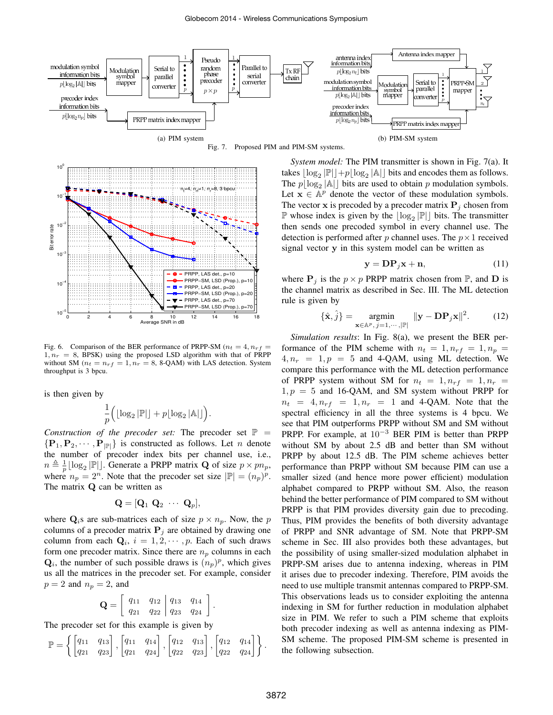

 $10<sup>c</sup>$ n =4, n<sub>rf</sub>=1, n =8, 3 bpcu t r 10−1 Bit error rate 10−2  $10^{-3}$ PRPP, LAS det., p=10 PRPP−SM, LSD (Prop.), p=10 10−4 a PRPP, LAS det., p=20 PRPP−SM, LSD (Prop.), p=20 PRPP, LAS det., p=70 PRPP−SM, LSD (Prop. 10−5 0 2 4 6 8 10 12 14 16 18 Average SNR in dB

Fig. 6. Comparison of the BER performance of PRPP-SM ( $n_t = 4$ ,  $n_{rf} =$  $1, n_r = 8$ , BPSK) using the proposed LSD algorithm with that of PRPP without SM ( $n_t = n_{rf} = 1$ ,  $n_r = 8$ , 8-QAM) with LAS detection. System throughput is 3 bpcu.

is then given by

$$
\frac{1}{p}\Big(\lfloor \log_2|{\mathbb{P}}|\rfloor + p\lfloor \log_2|{\mathbb{A}}|\rfloor\Big).
$$

*Construction of the precoder set:* The precoder set  $\mathbb{P}$  =  ${P_1, P_2, \cdots, P_{|\mathbb{P}|}}$  is constructed as follows. Let *n* denote the number of precoder index bits per channel use, i.e.,  $n \triangleq \frac{1}{p} \lfloor \log_2 |\mathbb{P}| \rfloor$ . Generate a PRPP matrix **Q** of size  $p \times pn_p$ , where  $n_p = 2^n$ . Note that the precoder set size  $|\mathbb{P}| = (n_p)^p$ . The matrix **Q** can be written as

$$
\mathbf{Q} = [\mathbf{Q}_1 \ \mathbf{Q}_2 \ \cdots \ \mathbf{Q}_p],
$$

where  $\mathbf{Q}_i$ s are sub-matrices each of size  $p \times n_p$ . Now, the p columns of a precoder matrix  $P_j$  are obtained by drawing one column from each  $\mathbf{Q}_i$ ,  $i = 1, 2, \cdots, p$ . Each of such draws form one precoder matrix. Since there are  $n_p$  columns in each  $\mathbf{Q}_i$ , the number of such possible draws is  $(n_p)^p$ , which gives us all the matrices in the precoder set. For example, consider  $p = 2$  and  $n_p = 2$ , and

$$
\mathbf{Q} = \left[ \begin{array}{cc} q_{11} & q_{12} \\ q_{21} & q_{22} \end{array} \middle| \begin{array}{cc} q_{13} & q_{14} \\ q_{23} & q_{24} \end{array} \right].
$$

The precoder set for this example is given by

$$
\mathbb{P} = \left\{ \begin{bmatrix} q_{11} & q_{13} \\ q_{21} & q_{23} \end{bmatrix}, \begin{bmatrix} q_{11} & q_{14} \\ q_{21} & q_{24} \end{bmatrix}, \begin{bmatrix} q_{12} & q_{13} \\ q_{22} & q_{23} \end{bmatrix}, \begin{bmatrix} q_{12} & q_{14} \\ q_{22} & q_{24} \end{bmatrix} \right\}.
$$

*System model:* The PIM transmitter is shown in Fig. 7(a). It takes  $\lfloor \log_2 |\mathbb{P}| \rfloor + p \lfloor \log_2 |\mathbb{A}| \rfloor$  bits and encodes them as follows. The  $p[\log_2 |A|]$  bits are used to obtain p modulation symbols. Let  $x \in \mathbb{A}^p$  denote the vector of these modulation symbols. The vector **x** is precoded by a precoder matrix  $P_i$  chosen from  $\mathbb P$  whose index is given by the  $\lfloor \log_2 |\mathbb P| \rfloor$  bits. The transmitter then sends one precoded symbol in every channel use. The detection is performed after p channel uses. The  $p \times 1$  received signal vector y in this system model can be written as

$$
y = DP_j x + n,\tag{11}
$$

where  $P_i$  is the  $p \times p$  PRPP matrix chosen from  $P$ , and  $D$  is the channel matrix as described in Sec. III. The ML detection rule is given by

$$
\{\hat{\mathbf{x}}, \hat{j}\} = \underset{\mathbf{x} \in \mathbb{A}^p, \, j=1,\cdots,|\mathbb{P}|}{\text{argmin}} \ \|\mathbf{y} - \mathbf{D} \mathbf{P}_j \mathbf{x}\|^2. \tag{12}
$$

*Simulation results*: In Fig. 8(a), we present the BER performance of the PIM scheme with  $n_t = 1, n_{rf} = 1, n_p =$  $4, n_r = 1, p = 5$  and 4-QAM, using ML detection. We compare this performance with the ML detection performance of PRPP system without SM for  $n_t = 1, n_{rf} = 1, n_r =$  $1, p = 5$  and 16-QAM, and SM system without PRPP for  $n_t = 4$ ,  $n_{rf} = 1$ ,  $n_r = 1$  and 4-QAM. Note that the spectral efficiency in all the three systems is 4 bpcu. We see that PIM outperforms PRPP without SM and SM without PRPP. For example, at  $10^{-3}$  BER PIM is better than PRPP without SM by about 2.5 dB and better than SM without PRPP by about 12.5 dB. The PIM scheme achieves better performance than PRPP without SM because PIM can use a smaller sized (and hence more power efficient) modulation alphabet compared to PRPP without SM. Also, the reason behind the better performance of PIM compared to SM without PRPP is that PIM provides diversity gain due to precoding. Thus, PIM provides the benefits of both diversity advantage of PRPP and SNR advantage of SM. Note that PRPP-SM scheme in Sec. III also provides both these advantages, but the possibility of using smaller-sized modulation alphabet in PRPP-SM arises due to antenna indexing, whereas in PIM it arises due to precoder indexing. Therefore, PIM avoids the need to use multiple transmit antennas compared to PRPP-SM. This observations leads us to consider exploiting the antenna indexing in SM for further reduction in modulation alphabet size in PIM. We refer to such a PIM scheme that exploits both precoder indexing as well as antenna indexing as PIM-SM scheme. The proposed PIM-SM scheme is presented in the following subsection.